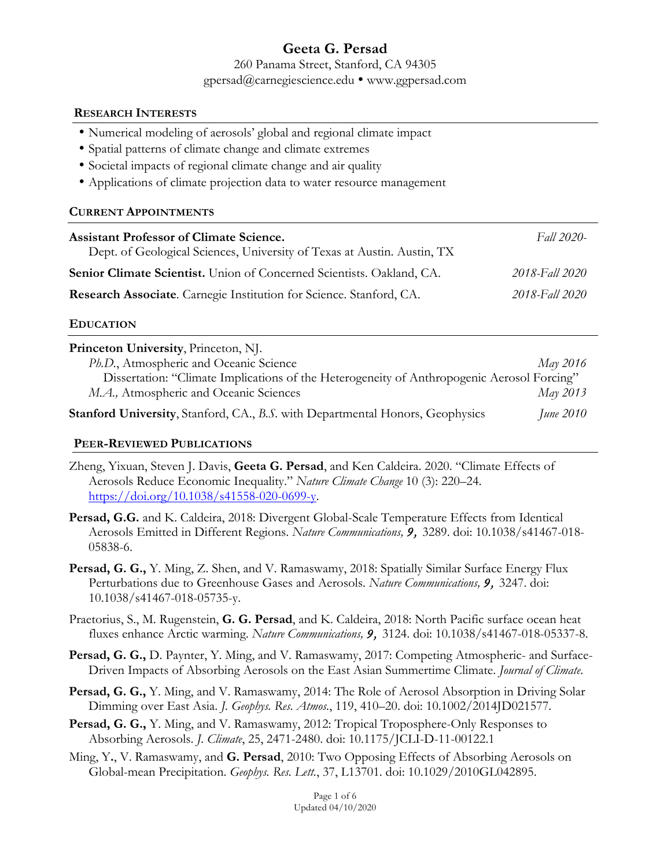# **Geeta G. Persad**

260 Panama Street, Stanford, CA 94305 gpersad@carnegiescience.edu ! www.ggpersad.com

#### **RESEARCH INTERESTS**

- Numerical modeling of aerosols' global and regional climate impact
- Spatial patterns of climate change and climate extremes
- Societal impacts of regional climate change and air quality
- Applications of climate projection data to water resource management

### **CURRENT APPOINTMENTS**

| <b>Assistant Professor of Climate Science.</b><br>Dept. of Geological Sciences, University of Texas at Austin. Austin, TX | Fall 2020-     |
|---------------------------------------------------------------------------------------------------------------------------|----------------|
| <b>Senior Climate Scientist.</b> Union of Concerned Scientists. Oakland, CA.                                              | 2018-Fall 2020 |
| Research Associate. Carnegie Institution for Science. Stanford, CA.                                                       | 2018-Fall 2020 |

### **EDUCATION**

| Princeton University, Princeton, NJ.                                                       |                  |
|--------------------------------------------------------------------------------------------|------------------|
| Ph.D., Atmospheric and Oceanic Science                                                     | May 2016         |
| Dissertation: "Climate Implications of the Heterogeneity of Anthropogenic Aerosol Forcing" |                  |
| M.A., Atmospheric and Oceanic Sciences                                                     | May 2013         |
| <b>Stanford University, Stanford, CA., B.S. with Departmental Honors, Geophysics</b>       | <i>June 2010</i> |

### **PEER-REVIEWED PUBLICATIONS**

- Zheng, Yixuan, Steven J. Davis, **Geeta G. Persad**, and Ken Caldeira. 2020. "Climate Effects of Aerosols Reduce Economic Inequality." *Nature Climate Change* 10 (3): 220–24. https://doi.org/10.1038/s41558-020-0699-y.
- **Persad, G.G.** and K. Caldeira, 2018: Divergent Global-Scale Temperature Effects from Identical Aerosols Emitted in Different Regions. *Nature Communications, 9,* 3289. doi: 10.1038/s41467-018- 05838-6.
- **Persad, G. G.,** Y. Ming, Z. Shen, and V. Ramaswamy, 2018: Spatially Similar Surface Energy Flux Perturbations due to Greenhouse Gases and Aerosols. *Nature Communications, 9,* 3247. doi: 10.1038/s41467-018-05735-y.
- Praetorius, S., M. Rugenstein, **G. G. Persad**, and K. Caldeira, 2018: North Pacific surface ocean heat fluxes enhance Arctic warming. *Nature Communications, 9,* 3124. doi: 10.1038/s41467-018-05337-8.
- **Persad, G. G.,** D. Paynter, Y. Ming, and V. Ramaswamy, 2017: Competing Atmospheric- and Surface-Driven Impacts of Absorbing Aerosols on the East Asian Summertime Climate. *Journal of Climate*.
- **Persad, G. G.,** Y. Ming, and V. Ramaswamy, 2014: The Role of Aerosol Absorption in Driving Solar Dimming over East Asia. *J. Geophys. Res. Atmos.*, 119, 410–20. doi: 10.1002/2014JD021577.
- **Persad, G. G.,** Y. Ming, and V. Ramaswamy, 2012: Tropical Troposphere-Only Responses to Absorbing Aerosols. *J. Climate*, 25, 2471-2480. doi: 10.1175/JCLI-D-11-00122.1
- Ming, Y**.**, V. Ramaswamy, and **G. Persad**, 2010: Two Opposing Effects of Absorbing Aerosols on Global-mean Precipitation. *Geophys. Res. Lett.*, 37, L13701. doi: 10.1029/2010GL042895.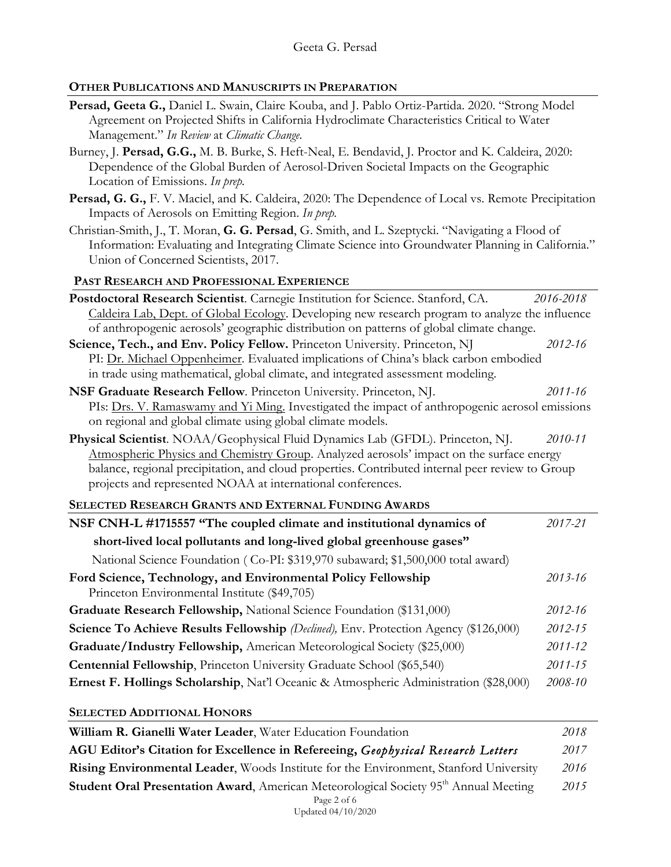# **OTHER PUBLICATIONS AND MANUSCRIPTS IN PREPARATION**

| Persad, Geeta G., Daniel L. Swain, Claire Kouba, and J. Pablo Ortiz-Partida. 2020. "Strong Model<br>Agreement on Projected Shifts in California Hydroclimate Characteristics Critical to Water<br>Management." In Review at Climatic Change.                                    |           |
|---------------------------------------------------------------------------------------------------------------------------------------------------------------------------------------------------------------------------------------------------------------------------------|-----------|
| Burney, J. Persad, G.G., M. B. Burke, S. Heft-Neal, E. Bendavid, J. Proctor and K. Caldeira, 2020:<br>Dependence of the Global Burden of Aerosol-Driven Societal Impacts on the Geographic<br>Location of Emissions. In prep.                                                   |           |
| Persad, G. G., F. V. Maciel, and K. Caldeira, 2020: The Dependence of Local vs. Remote Precipitation<br>Impacts of Aerosols on Emitting Region. In prep.                                                                                                                        |           |
| Christian-Smith, J., T. Moran, G. G. Persad, G. Smith, and L. Szeptycki. "Navigating a Flood of<br>Information: Evaluating and Integrating Climate Science into Groundwater Planning in California."<br>Union of Concerned Scientists, 2017.                                    |           |
| PAST RESEARCH AND PROFESSIONAL EXPERIENCE                                                                                                                                                                                                                                       |           |
| Postdoctoral Research Scientist. Carnegie Institution for Science. Stanford, CA.<br>Caldeira Lab, Dept. of Global Ecology. Developing new research program to analyze the influence<br>of anthropogenic aerosols' geographic distribution on patterns of global climate change. | 2016-2018 |
| Science, Tech., and Env. Policy Fellow. Princeton University. Princeton, NJ<br>PI: Dr. Michael Oppenheimer. Evaluated implications of China's black carbon embodied<br>in trade using mathematical, global climate, and integrated assessment modeling.                         | 2012-16   |
| NSF Graduate Research Fellow. Princeton University. Princeton, NJ.                                                                                                                                                                                                              | 2011-16   |
| PIs: Drs. V. Ramaswamy and Yi Ming. Investigated the impact of anthropogenic aerosol emissions                                                                                                                                                                                  |           |
| on regional and global climate using global climate models.                                                                                                                                                                                                                     |           |
| Physical Scientist. NOAA/Geophysical Fluid Dynamics Lab (GFDL). Princeton, NJ.                                                                                                                                                                                                  | 2010-11   |
| Atmospheric Physics and Chemistry Group. Analyzed aerosols' impact on the surface energy                                                                                                                                                                                        |           |
| balance, regional precipitation, and cloud properties. Contributed internal peer review to Group<br>projects and represented NOAA at international conferences.                                                                                                                 |           |
| SELECTED RESEARCH GRANTS AND EXTERNAL FUNDING AWARDS                                                                                                                                                                                                                            |           |
| NSF CNH-L #1715557 "The coupled climate and institutional dynamics of                                                                                                                                                                                                           | 2017-21   |
| short-lived local pollutants and long-lived global greenhouse gases"                                                                                                                                                                                                            |           |
| National Science Foundation (Co-PI: \$319,970 subaward; \$1,500,000 total award)                                                                                                                                                                                                |           |
| Ford Science, Technology, and Environmental Policy Fellowship<br>Princeton Environmental Institute (\$49,705)                                                                                                                                                                   | 2013-16   |
| Graduate Research Fellowship, National Science Foundation (\$131,000)                                                                                                                                                                                                           | 2012-16   |
| Science To Achieve Results Fellowship (Declined), Env. Protection Agency (\$126,000)                                                                                                                                                                                            | 2012-15   |
| Graduate/Industry Fellowship, American Meteorological Society (\$25,000)                                                                                                                                                                                                        | 2011-12   |
| Centennial Fellowship, Princeton University Graduate School (\$65,540)                                                                                                                                                                                                          | 2011-15   |
| Ernest F. Hollings Scholarship, Nat'l Oceanic & Atmospheric Administration (\$28,000)                                                                                                                                                                                           | 2008-10   |
| <b>SELECTED ADDITIONAL HONORS</b>                                                                                                                                                                                                                                               |           |
| William R. Gianelli Water Leader, Water Education Foundation                                                                                                                                                                                                                    | 2018      |
| AGU Editor's Citation for Excellence in Refereeing, Geophysical Research Letters                                                                                                                                                                                                | 2017      |
| Rising Environmental Leader, Woods Institute for the Environment, Stanford University                                                                                                                                                                                           | 2016      |
| Student Oral Presentation Award, American Meteorological Society 95 <sup>th</sup> Annual Meeting                                                                                                                                                                                | 2015      |
| Page 2 of 6<br>Updated 04/10/2020                                                                                                                                                                                                                                               |           |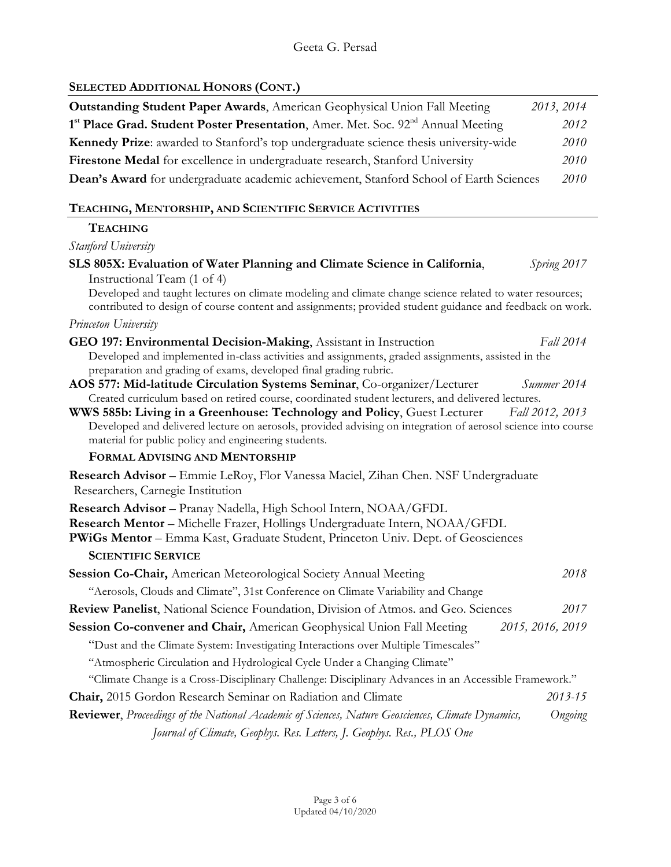## Geeta G. Persad

# **SELECTED ADDITIONAL HONORS (CONT.)**

| <b>Outstanding Student Paper Awards</b> , American Geophysical Union Fall Meeting                                                                                                                                                               | 2013, 2014       |
|-------------------------------------------------------------------------------------------------------------------------------------------------------------------------------------------------------------------------------------------------|------------------|
| 1 <sup>st</sup> Place Grad. Student Poster Presentation, Amer. Met. Soc. 92 <sup>nd</sup> Annual Meeting                                                                                                                                        | 2012             |
| Kennedy Prize: awarded to Stanford's top undergraduate science thesis university-wide                                                                                                                                                           | 2010             |
| Firestone Medal for excellence in undergraduate research, Stanford University                                                                                                                                                                   | 2010             |
| Dean's Award for undergraduate academic achievement, Stanford School of Earth Sciences                                                                                                                                                          | 2010             |
| TEACHING, MENTORSHIP, AND SCIENTIFIC SERVICE ACTIVITIES                                                                                                                                                                                         |                  |
| <b>TEACHING</b>                                                                                                                                                                                                                                 |                  |
| Stanford University                                                                                                                                                                                                                             |                  |
|                                                                                                                                                                                                                                                 |                  |
| SLS 805X: Evaluation of Water Planning and Climate Science in California,<br>Instructional Team (1 of 4)                                                                                                                                        | Spring 2017      |
| Developed and taught lectures on climate modeling and climate change science related to water resources;<br>contributed to design of course content and assignments; provided student guidance and feedback on work.                            |                  |
| Princeton University                                                                                                                                                                                                                            |                  |
| GEO 197: Environmental Decision-Making, Assistant in Instruction                                                                                                                                                                                | Fall 2014        |
| Developed and implemented in-class activities and assignments, graded assignments, assisted in the                                                                                                                                              |                  |
| preparation and grading of exams, developed final grading rubric.<br>AOS 577: Mid-latitude Circulation Systems Seminar, Co-organizer/Lecturer                                                                                                   | Summer 2014      |
| Created curriculum based on retired course, coordinated student lecturers, and delivered lectures.                                                                                                                                              |                  |
| WWS 585b: Living in a Greenhouse: Technology and Policy, Guest Lecturer<br>Developed and delivered lecture on aerosols, provided advising on integration of aerosol science into course<br>material for public policy and engineering students. | Fall 2012, 2013  |
| FORMAL ADVISING AND MENTORSHIP                                                                                                                                                                                                                  |                  |
| Research Advisor - Emmie LeRoy, Flor Vanessa Maciel, Zihan Chen. NSF Undergraduate<br>Researchers, Carnegie Institution                                                                                                                         |                  |
| Research Advisor - Pranay Nadella, High School Intern, NOAA/GFDL<br>Research Mentor - Michelle Frazer, Hollings Undergraduate Intern, NOAA/GFDL<br>PWiGs Mentor - Emma Kast, Graduate Student, Princeton Univ. Dept. of Geosciences             |                  |
| <b>SCIENTIFIC SERVICE</b>                                                                                                                                                                                                                       |                  |
| Session Co-Chair, American Meteorological Society Annual Meeting                                                                                                                                                                                | 2018             |
| "Aerosols, Clouds and Climate", 31st Conference on Climate Variability and Change                                                                                                                                                               |                  |
| <b>Review Panelist, National Science Foundation, Division of Atmos. and Geo. Sciences</b>                                                                                                                                                       | 2017             |
| Session Co-convener and Chair, American Geophysical Union Fall Meeting                                                                                                                                                                          | 2015, 2016, 2019 |
| "Dust and the Climate System: Investigating Interactions over Multiple Timescales"                                                                                                                                                              |                  |
| "Atmospheric Circulation and Hydrological Cycle Under a Changing Climate"                                                                                                                                                                       |                  |
| "Climate Change is a Cross-Disciplinary Challenge: Disciplinary Advances in an Accessible Framework."                                                                                                                                           |                  |
| Chair, 2015 Gordon Research Seminar on Radiation and Climate                                                                                                                                                                                    | 2013-15          |
| Reviewer, Proceedings of the National Academic of Sciences, Nature Geosciences, Climate Dynamics,                                                                                                                                               | Ongoing          |
| Journal of Climate, Geophys. Res. Letters, J. Geophys. Res., PLOS One                                                                                                                                                                           |                  |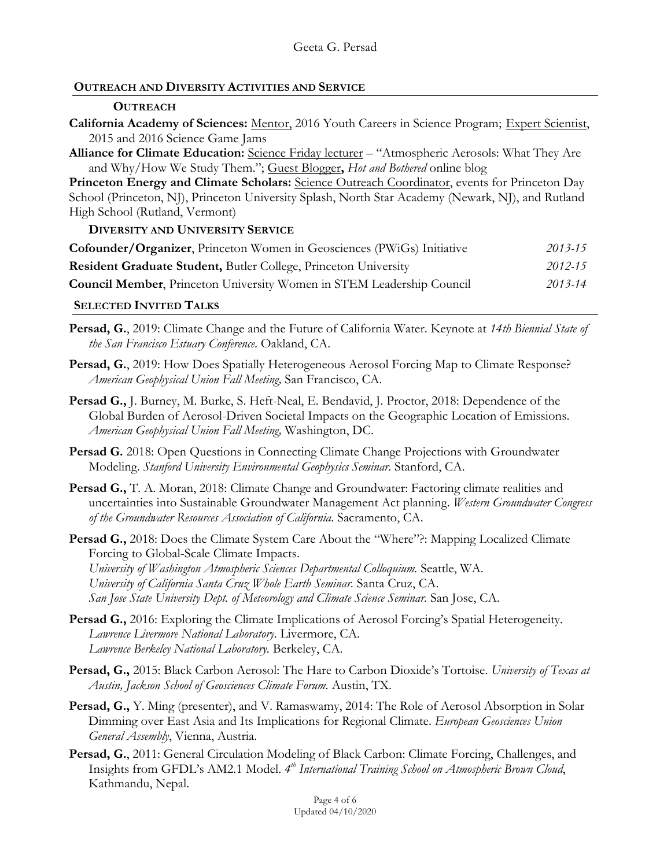# **OUTREACH AND DIVERSITY ACTIVITIES AND SERVICE**

# **OUTREACH**

- **California Academy of Sciences:** Mentor, 2016 Youth Careers in Science Program;Expert Scientist, 2015 and 2016 Science Game Jams
- **Alliance for Climate Education:** Science Friday lecturer "Atmospheric Aerosols: What They Are and Why/How We Study Them."; Guest Blogger**,** *Hot and Bothered* online blog

**Princeton Energy and Climate Scholars:** Science Outreach Coordinator, events for Princeton Day School (Princeton, NJ), Princeton University Splash, North Star Academy (Newark, NJ), and Rutland High School (Rutland, Vermont)

**DIVERSITY AND UNIVERSITY SERVICE**

| <b>Cofounder/Organizer, Princeton Women in Geosciences (PWiGs) Initiative</b> | $2013 - 15$ |
|-------------------------------------------------------------------------------|-------------|
| <b>Resident Graduate Student, Butler College, Princeton University</b>        | 2012-15     |
| <b>Council Member, Princeton University Women in STEM Leadership Council</b>  | 2013-14     |
|                                                                               |             |

# **SELECTED INVITED TALKS**

- **Persad, G.**, 2019: Climate Change and the Future of California Water. Keynote at *14th Biennial State of the San Francisco Estuary Conference*. Oakland, CA.
- **Persad, G.**, 2019: How Does Spatially Heterogeneous Aerosol Forcing Map to Climate Response? *American Geophysical Union Fall Meeting,* San Francisco, CA.
- **Persad G.,** J. Burney, M. Burke, S. Heft-Neal, E. Bendavid, J. Proctor, 2018: Dependence of the Global Burden of Aerosol-Driven Societal Impacts on the Geographic Location of Emissions. *American Geophysical Union Fall Meeting,* Washington, DC.
- **Persad G.** 2018: Open Questions in Connecting Climate Change Projections with Groundwater Modeling. *Stanford University Environmental Geophysics Seminar*. Stanford, CA.
- **Persad G.,** T. A. Moran, 2018: Climate Change and Groundwater: Factoring climate realities and uncertainties into Sustainable Groundwater Management Act planning. *Western Groundwater Congress of the Groundwater Resources Association of California*. Sacramento, CA.
- **Persad G.,** 2018: Does the Climate System Care About the "Where"?: Mapping Localized Climate Forcing to Global-Scale Climate Impacts. *University of Washington Atmospheric Sciences Departmental Colloquium.* Seattle, WA. *University of California Santa Cruz Whole Earth Seminar.* Santa Cruz, CA. *San Jose State University Dept. of Meteorology and Climate Science Seminar.* San Jose, CA.
- Persad G., 2016: Exploring the Climate Implications of Aerosol Forcing's Spatial Heterogeneity. *Lawrence Livermore National Laboratory.* Livermore, CA. *Lawrence Berkeley National Laboratory.* Berkeley, CA.
- **Persad, G.,** 2015: Black Carbon Aerosol: The Hare to Carbon Dioxide's Tortoise. *University of Texas at Austin, Jackson School of Geosciences Climate Forum.* Austin, TX.
- **Persad, G.,** Y. Ming (presenter), and V. Ramaswamy, 2014: The Role of Aerosol Absorption in Solar Dimming over East Asia and Its Implications for Regional Climate. *European Geosciences Union General Assembly*, Vienna, Austria.
- **Persad, G.**, 2011: General Circulation Modeling of Black Carbon: Climate Forcing, Challenges, and Insights from GFDL's AM2.1 Model. *4th International Training School on Atmospheric Brown Cloud*, Kathmandu, Nepal.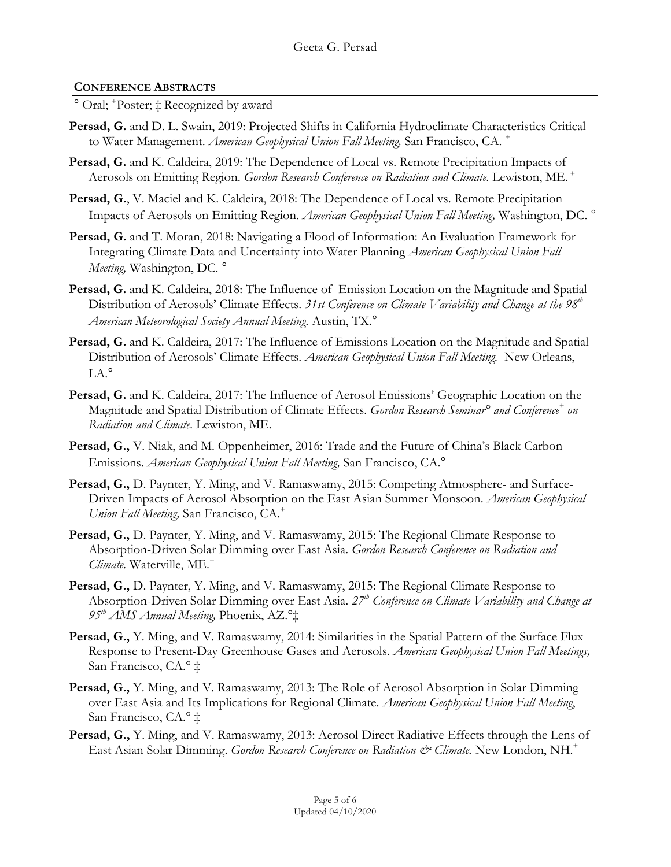# **CONFERENCE ABSTRACTS**

° Oral; + Poster; ‡ Recognized by award

- Persad, G. and D. L. Swain, 2019: Projected Shifts in California Hydroclimate Characteristics Critical to Water Management. *American Geophysical Union Fall Meeting,* San Francisco, CA. *<sup>+</sup>*
- Persad, G. and K. Caldeira, 2019: The Dependence of Local vs. Remote Precipitation Impacts of Aerosols on Emitting Region. *Gordon Research Conference on Radiation and Climate.* Lewiston, ME. *<sup>+</sup>*
- Persad, G., V. Maciel and K. Caldeira, 2018: The Dependence of Local vs. Remote Precipitation Impacts of Aerosols on Emitting Region. *American Geophysical Union Fall Meeting,* Washington, DC. °
- **Persad, G.** and T. Moran, 2018: Navigating a Flood of Information: An Evaluation Framework for Integrating Climate Data and Uncertainty into Water Planning *American Geophysical Union Fall Meeting,* Washington, DC. °
- **Persad, G.** and K. Caldeira, 2018: The Influence of Emission Location on the Magnitude and Spatial Distribution of Aerosols' Climate Effects. 31st Conference on Climate Variability and Change at the 98<sup>th</sup> *American Meteorological Society Annual Meeting.* Austin, TX.°
- Persad, G. and K. Caldeira, 2017: The Influence of Emissions Location on the Magnitude and Spatial Distribution of Aerosols' Climate Effects. *American Geophysical Union Fall Meeting.* New Orleans, LA.°
- **Persad, G.** and K. Caldeira, 2017: The Influence of Aerosol Emissions' Geographic Location on the Magnitude and Spatial Distribution of Climate Effects. *Gordon Research Seminar° and Conference+ on Radiation and Climate.* Lewiston, ME.
- **Persad, G.,** V. Niak, and M. Oppenheimer, 2016: Trade and the Future of China's Black Carbon Emissions. *American Geophysical Union Fall Meeting,* San Francisco, CA.°
- Persad, G., D. Paynter, Y. Ming, and V. Ramaswamy, 2015: Competing Atmosphere- and Surface-Driven Impacts of Aerosol Absorption on the East Asian Summer Monsoon. *American Geophysical Union Fall Meeting,* San Francisco, CA.+
- **Persad, G.,** D. Paynter, Y. Ming, and V. Ramaswamy, 2015: The Regional Climate Response to Absorption-Driven Solar Dimming over East Asia. *Gordon Research Conference on Radiation and Climate*. Waterville, ME.<sup>+</sup>
- **Persad, G.,** D. Paynter, Y. Ming, and V. Ramaswamy, 2015: The Regional Climate Response to Absorption-Driven Solar Dimming over East Asia. *27th Conference on Climate Variability and Change at 95th AMS Annual Meeting,* Phoenix, AZ.°‡
- **Persad, G.,** Y. Ming, and V. Ramaswamy, 2014: Similarities in the Spatial Pattern of the Surface Flux Response to Present-Day Greenhouse Gases and Aerosols. *American Geophysical Union Fall Meetings,*  San Francisco, CA.° ‡
- **Persad, G.,** Y. Ming, and V. Ramaswamy, 2013: The Role of Aerosol Absorption in Solar Dimming over East Asia and Its Implications for Regional Climate. *American Geophysical Union Fall Meeting*, San Francisco, CA.° ‡
- **Persad, G.,** Y. Ming, and V. Ramaswamy, 2013: Aerosol Direct Radiative Effects through the Lens of East Asian Solar Dimming. *Gordon Research Conference on Radiation & Climate*. New London, NH.<sup>+</sup>